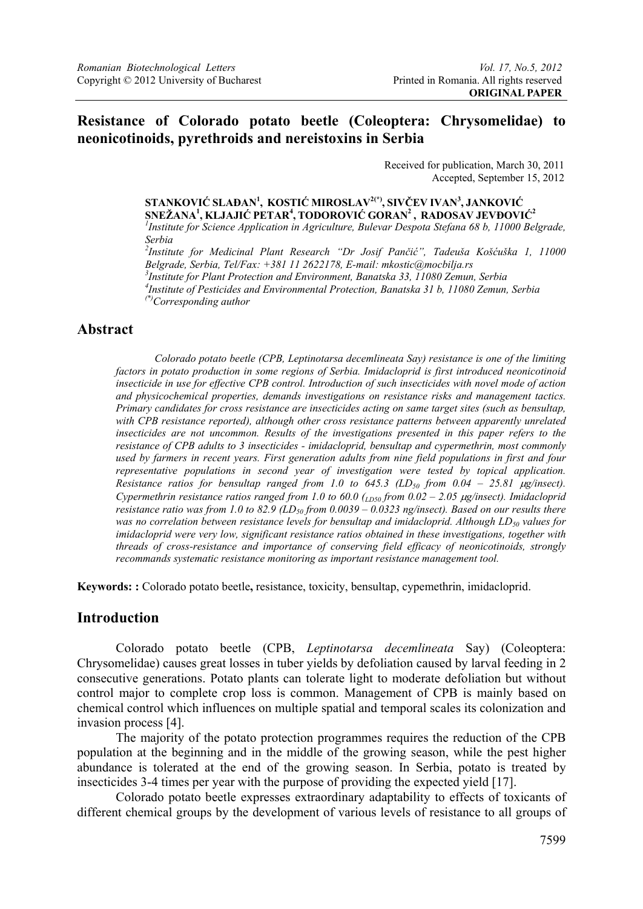## **Resistance of Colorado potato beetle (Coleoptera: Chrysomelidae) to neonicotinoids, pyrethroids and nereistoxins in Serbia**

Received for publication, March 30, 2011 Accepted, September 15, 2012

### **STANKOVIĆ SLAĐAN1 , KOSTIĆ MIROSLAV2(\*), SIVČEV IVAN3 , JANKOVIĆ SNEŽANA1 , KLJAJIĆ PETAR4 , TODOROVIĆ GORAN2 , RADOSAV JEVĐOVIĆ<sup>2</sup>**

<sup>1</sup> Institute for Science Application in Agriculture, Bulevar Despota Stefana 68 b, 11000 Belgrade, *Serbia* 

*2 Institute for Medicinal Plant Research "Dr Josif Pančić", Tadeuša Košćuška 1, 11000 Belgrade, Serbia, Tel/Fax: +381 11 2622178, E-mail: mkostic@mocbilja.rs 3 Institute for Plant Protection and Environment, Banatska 33, 11080 Zemun, Serbia 4 Institute of Pesticides and Environmental Protection, Banatska 31 b, 11080 Zemun, Serbia (\*)Corresponding author* 

## **Abstract**

 *Colorado potato beetle (CPB, Leptinotarsa decemlineata Say) resistance is one of the limiting factors in potato production in some regions of Serbia. Imidacloprid is first introduced neonicotinoid insecticide in use for effective CPB control. Introduction of such insecticides with novel mode of action and physicochemical properties, demands investigations on resistance risks and management tactics. Primary candidates for cross resistance are insecticides acting on same target sites (such as bensultap, with CPB resistance reported), although other cross resistance patterns between apparently unrelated insecticides are not uncommon. Results of the investigations presented in this paper refers to the resistance of CPB adults to 3 insecticides - imidacloprid, bensultap and cypermethrin, most commonly used by farmers in recent years. First generation adults from nine field populations in first and four representative populations in second year of investigation were tested by topical application. Resistance ratios for bensultap ranged from 1.0 to 645.3 (LD<sub>50</sub> from 0.04 – 25.81 µg/insect). Cypermethrin resistance ratios ranged from 1.0 to 60.0 (<sub>LD50</sub> from 0.02 – 2.05 μg/insect). Imidacloprid resistance ratio was from 1.0 to 82.9 (LD<sub>50</sub> from 0.0039 – 0.0323 ng/insect). Based on our results there* was no correlation between resistance levels for bensultap and imidacloprid. Although LD<sub>50</sub> values for *imidacloprid were very low, significant resistance ratios obtained in these investigations, together with threads of cross-resistance and importance of conserving field efficacy of neonicotinoids, strongly recommands systematic resistance monitoring as important resistance management tool.* 

**Keywords: :** Colorado potato beetle**,** resistance, toxicity, bensultap, cypemethrin, imidacloprid.

### **Introduction**

Colorado potato beetle (CPB, *Leptinotarsa decemlineata* Say) (Coleoptera: Chrysomelidae) causes great losses in tuber yields by defoliation caused by larval feeding in 2 consecutive generations. Potato plants can tolerate light to moderate defoliation but without control major to complete crop loss is common. Management of CPB is mainly based on chemical control which influences on multiple spatial and temporal scales its colonization and invasion process [4].

The majority of the potato protection programmes requires the reduction of the CPB population at the beginning and in the middle of the growing season, while the pest higher abundance is tolerated at the end of the growing season. In Serbia, potato is treated by insecticides 3-4 times per year with the purpose of providing the expected yield [17].

Colorado potato beetle expresses extraordinary adaptability to effects of toxicants of different chemical groups by the development of various levels of resistance to all groups of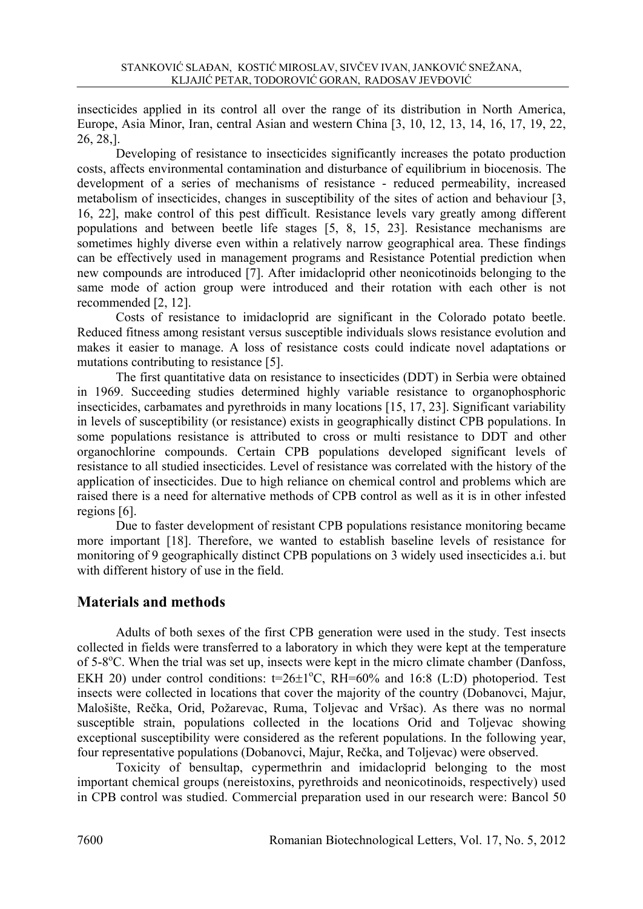insecticides applied in its control all over the range of its distribution in North America, Europe, Asia Minor, Iran, central Asian and western China [3, 10, 12, 13, 14, 16, 17, 19, 22, 26, 28,].

Developing of resistance to insecticides significantly increases the potato production costs, affects environmental contamination and disturbance of equilibrium in biocenosis. The development of a series of mechanisms of resistance - reduced permeability, increased metabolism of insecticides, changes in susceptibility of the sites of action and behaviour [3, 16, 22], make control of this pest difficult. Resistance levels vary greatly among different populations and between beetle life stages [5, 8, 15, 23]. Resistance mechanisms are sometimes highly diverse even within a relatively narrow geographical area. These findings can be effectively used in management programs and Resistance Potential prediction when new compounds are introduced [7]. After imidacloprid other neonicotinoids belonging to the same mode of action group were introduced and their rotation with each other is not recommended [2, 12].

Costs of resistance to imidacloprid are significant in the Colorado potato beetle. Reduced fitness among resistant versus susceptible individuals slows resistance evolution and makes it easier to manage. A loss of resistance costs could indicate novel adaptations or mutations contributing to resistance [5].

The first quantitative data on resistance to insecticides (DDT) in Serbia were obtained in 1969. Succeeding studies determined highly variable resistance to organophosphoric insecticides, carbamates and pyrethroids in many locations [15, 17, 23]. Significant variability in levels of susceptibility (or resistance) exists in geographically distinct CPB populations. In some populations resistance is attributed to cross or multi resistance to DDT and other organochlorine compounds. Certain CPB populations developed significant levels of resistance to all studied insecticides. Level of resistance was correlated with the history of the application of insecticides. Due to high reliance on chemical control and problems which are raised there is a need for alternative methods of CPB control as well as it is in other infested regions [6].

Due to faster development of resistant CPB populations resistance monitoring became more important [18]. Therefore, we wanted to establish baseline levels of resistance for monitoring of 9 geographically distinct CPB populations on 3 widely used insecticides a.i. but with different history of use in the field.

# **Materials and methods**

Adults of both sexes of the first CPB generation were used in the study. Test insects collected in fields were transferred to a laboratory in which they were kept at the temperature of 5-8°C. When the trial was set up, insects were kept in the micro climate chamber (Danfoss, EKH 20) under control conditions:  $t=26\pm1\degree C$ , RH=60% and 16:8 (L:D) photoperiod. Test insects were collected in locations that cover the majority of the country (Dobanovci, Majur, Malošište, Rečka, Orid, Požarevac, Ruma, Toljevac and Vršac). As there was no normal susceptible strain, populations collected in the locations Orid and Toljevac showing exceptional susceptibility were considered as the referent populations. In the following year, four representative populations (Dobanovci, Majur, Rečka, and Toljevac) were observed.

 Toxicity of bensultap, cypermethrin and imidacloprid belonging to the most important chemical groups (nereistoxins, pyrethroids and neonicotinoids, respectively) used in CPB control was studied. Commercial preparation used in our research were: Bancol 50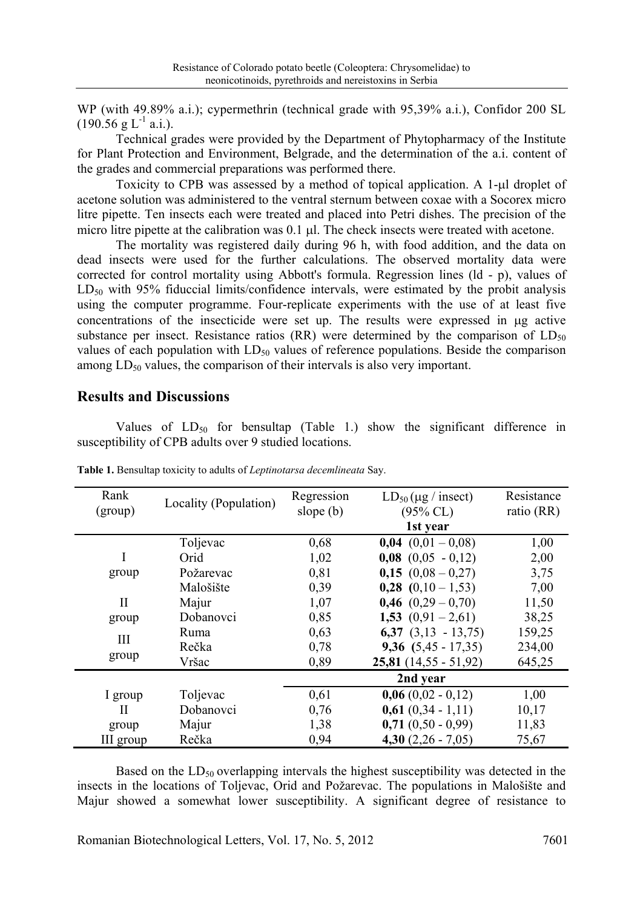WP (with 49.89% a.i.); cypermethrin (technical grade with 95,39% a.i.), Confidor 200 SL  $(190.56 \text{ g L}^{-1} \text{ a.i.}).$ 

 Technical grades were provided by the Department of Phytopharmacy of the Institute for Plant Protection and Environment, Belgrade, and the determination of the a.i. content of the grades and commercial preparations was performed there.

 Toxicity to CPB was assessed by a method of topical application. A 1-μl droplet of acetone solution was administered to the ventral sternum between coxae with a Socorex micro litre pipette. Ten insects each were treated and placed into Petri dishes. The precision of the micro litre pipette at the calibration was 0.1 μl. The check insects were treated with acetone.

 The mortality was registered daily during 96 h, with food addition, and the data on dead insects were used for the further calculations. The observed mortality data were corrected for control mortality using Abbott's formula. Regression lines (ld - p), values of  $LD_{50}$  with 95% fiduccial limits/confidence intervals, were estimated by the probit analysis using the computer programme. Four-replicate experiments with the use of at least five concentrations of the insecticide were set up. The results were expressed in μg active substance per insect. Resistance ratios (RR) were determined by the comparison of  $LD_{50}$ values of each population with  $LD_{50}$  values of reference populations. Beside the comparison among  $LD_{50}$  values, the comparison of their intervals is also very important.

### **Results and Discussions**

Values of  $LD_{50}$  for bensultap (Table 1.) show the significant difference in susceptibility of CPB adults over 9 studied locations.

| Rank<br>(group) | Locality (Population) | Regression<br>slope $(b)$ | $LD_{50}$ (µg / insect)<br>$(95\%$ CL) | Resistance<br>ratio (RR) |
|-----------------|-----------------------|---------------------------|----------------------------------------|--------------------------|
|                 |                       |                           | 1st year                               |                          |
|                 | Toljevac              | 0,68                      | $0,04$ $(0,01 - 0,08)$                 | 1,00                     |
|                 | Orid                  | 1,02                      | $0,08$ $(0,05 - 0,12)$                 | 2,00                     |
| group           | Požarevac             | 0,81                      | $0,15(0,08-0,27)$                      | 3,75                     |
|                 | Malošište             | 0,39                      | $0,28$ $(0,10-1,53)$                   | 7,00                     |
| H               | Majur                 | 1,07                      | $0,46$ $(0,29 - 0,70)$                 | 11,50                    |
| group           | Dobanovci             | 0,85                      | 1,53 $(0,91 - 2,61)$                   | 38,25                    |
| Ш               | Ruma                  | 0,63                      | $6,37$ $(3,13 - 13,75)$                | 159,25                   |
|                 | Rečka                 | 0,78                      | 9,36 $(5,45 - 17,35)$                  | 234,00                   |
| group           | Vršac                 | 0,89                      | $25,81$ (14,55 - 51,92)                | 645,25                   |
|                 |                       |                           | 2nd year                               |                          |
| I group         | Toljevac              | 0,61                      | $0,06(0,02 - 0,12)$                    | 1,00                     |
| Н               | Dobanovci             | 0,76                      | $0,61$ $(0,34 - 1,11)$                 | 10,17                    |
| group           | Majur                 | 1,38                      | $0,71$ $(0,50 - 0,99)$                 | 11,83                    |
| III group       | Rečka                 | 0,94                      | 4,30 $(2,26 - 7,05)$                   | 75,67                    |

**Table 1.** Bensultap toxicity to adults of *Leptinotarsa decemlineata* Say.

Based on the  $LD_{50}$  overlapping intervals the highest susceptibility was detected in the insects in the locations of Toljevac, Orid and Požarevac. The populations in Malošište and Majur showed a somewhat lower susceptibility. A significant degree of resistance to

Romanian Biotechnological Letters, Vol. 17, No. 5, 2012 7601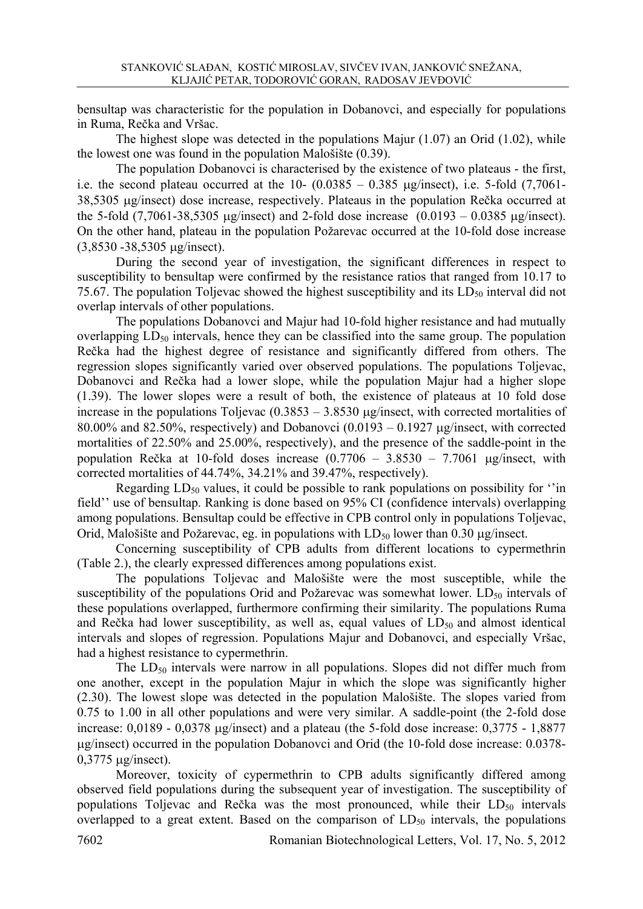bensultap was characteristic for the population in Dobanovci, and especially for populations in Ruma, Rečka and Vršac.

The highest slope was detected in the populations Majur  $(1.07)$  an Orid  $(1.02)$ , while the lowest one was found in the population Malošište (0.39).

The population Dobanovci is characterised by the existence of two plateaus - the first, i.e. the second plateau occurred at the  $10- (0.0385 - 0.385 \mu g/nsect)$ , i.e. 5-fold (7,7061-38,5305 μg/insect) dose increase, respectively. Plateaus in the population Rečka occurred at the 5-fold  $(7,7061-38,5305 \mu g/insect)$  and 2-fold dose increase  $(0.0193 - 0.0385 \mu g/insect)$ . On the other hand, plateau in the population Požarevac occurred at the 10-fold dose increase (3,8530 -38,5305 μg/insect).

 During the second year of investigation, the significant differences in respect to susceptibility to bensultap were confirmed by the resistance ratios that ranged from 10.17 to 75.67. The population Toljevac showed the highest susceptibility and its  $LD_{50}$  interval did not overlap intervals of other populations.

 The populations Dobanovci and Majur had 10-fold higher resistance and had mutually overlapping  $LD_{50}$  intervals, hence they can be classified into the same group. The population Rečka had the highest degree of resistance and significantly differed from others. The regression slopes significantly varied over observed populations. The populations Toljevac, Dobanovci and Rečka had a lower slope, while the population Majur had a higher slope (1.39). The lower slopes were a result of both, the existence of plateaus at 10 fold dose increase in the populations Toljevac  $(0.3853 - 3.8530 \mu g/nsect,$  with corrected mortalities of 80.00% and 82.50%, respectively) and Dobanovci  $(0.0193 - 0.1927 \mu g/mset)$ , with corrected mortalities of 22.50% and 25.00%, respectively), and the presence of the saddle-point in the population Rečka at 10-fold doses increase (0.7706 – 3.8530 – 7.7061 μg/insect, with corrected mortalities of 44.74%, 34.21% and 39.47%, respectively).

Regarding  $LD_{50}$  values, it could be possible to rank populations on possibility for  $\cdot$  in field'' use of bensultap. Ranking is done based on 95% CI (confidence intervals) overlapping among populations. Bensultap could be effective in CPB control only in populations Toljevac, Orid, Malošište and Požarevac, eg. in populations with  $LD_{50}$  lower than 0.30  $\mu$ g/insect.

 Concerning susceptibility of CPB adults from different locations to cypermethrin (Table 2.), the clearly expressed differences among populations exist.

 The populations Toljevac and Malošište were the most susceptible, while the susceptibility of the populations Orid and Požarevac was somewhat lower. LD<sub>50</sub> intervals of these populations overlapped, furthermore confirming their similarity. The populations Ruma and Rečka had lower susceptibility, as well as, equal values of  $LD_{50}$  and almost identical intervals and slopes of regression. Populations Majur and Dobanovci, and especially Vršac, had a highest resistance to cypermethrin.

The  $LD_{50}$  intervals were narrow in all populations. Slopes did not differ much from one another, except in the population Majur in which the slope was significantly higher (2.30). The lowest slope was detected in the population Malošište. The slopes varied from 0.75 to 1.00 in all other populations and were very similar. A saddle-point (the 2-fold dose increase:  $0.0189 - 0.0378$  µg/insect) and a plateau (the 5-fold dose increase:  $0.3775 - 1.8877$ μg/insect) occurred in the population Dobanovci and Orid (the 10-fold dose increase: 0.0378- 0,3775 μg/insect).

 Moreover, toxicity of cypermethrin to CPB adults significantly differed among observed field populations during the subsequent year of investigation. The susceptibility of populations Toljevac and Rečka was the most pronounced, while their  $LD_{50}$  intervals overlapped to a great extent. Based on the comparison of  $LD_{50}$  intervals, the populations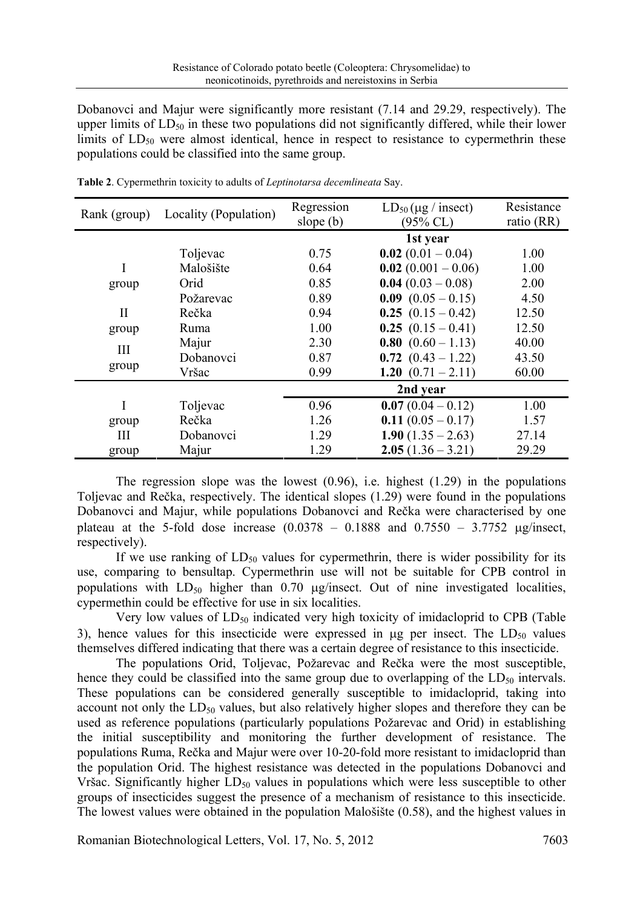Dobanovci and Majur were significantly more resistant (7.14 and 29.29, respectively). The upper limits of  $LD_{50}$  in these two populations did not significantly differed, while their lower limits of  $LD_{50}$  were almost identical, hence in respect to resistance to cypermethrin these populations could be classified into the same group.

| Rank (group) | Locality (Population) | Regression<br>slope $(b)$ | $LD_{50}$ (µg / insect)<br>$(95\%$ CL) | Resistance<br>ratio (RR) |
|--------------|-----------------------|---------------------------|----------------------------------------|--------------------------|
|              |                       |                           | 1st year                               |                          |
|              | Toljevac              | 0.75                      | $0.02(0.01 - 0.04)$                    | 1.00                     |
| I            | Malošište             | 0.64                      | $0.02(0.001 - 0.06)$                   | 1.00                     |
| group        | Orid                  | 0.85                      | $0.04(0.03 - 0.08)$                    | 2.00                     |
|              | Požarevac             | 0.89                      | $0.09$ $(0.05 - 0.15)$                 | 4.50                     |
| $\mathbf{I}$ | Rečka                 | 0.94                      | $0.25(0.15-0.42)$                      | 12.50                    |
| group        | <b>Ruma</b>           | 1.00                      | $0.25(0.15-0.41)$                      | 12.50                    |
| Ш<br>group   | Majur                 | 2.30                      | 0.80 $(0.60 - 1.13)$                   | 40.00                    |
|              | Dobanovci             | 0.87                      | $0.72$ $(0.43 - 1.22)$                 | 43.50                    |
|              | Vršac                 | 0.99                      | 1.20 $(0.71 - 2.11)$                   | 60.00                    |
|              |                       |                           | 2nd year                               |                          |
| I            | Toljevac              | 0.96                      | $0.07(0.04-0.12)$                      | 1.00                     |
| group        | Rečka                 | 1.26                      | $0.11(0.05 - 0.17)$                    | 1.57                     |
| Ш            | Dobanovci             | 1.29                      | $1.90(1.35 - 2.63)$                    | 27.14                    |
| group        | Majur                 | 1.29                      | $2.05(1.36 - 3.21)$                    | 29.29                    |

**Table 2**. Cypermethrin toxicity to adults of *Leptinotarsa decemlineata* Say.

The regression slope was the lowest  $(0.96)$ , i.e. highest  $(1.29)$  in the populations Toljevac and Rečka, respectively. The identical slopes (1.29) were found in the populations Dobanovci and Majur, while populations Dobanovci and Rečka were characterised by one plateau at the 5-fold dose increase  $(0.0378 - 0.1888$  and  $0.7550 - 3.7752$  μg/insect, respectively).

If we use ranking of  $LD_{50}$  values for cypermethrin, there is wider possibility for its use, comparing to bensultap. Cypermethrin use will not be suitable for CPB control in populations with  $LD_{50}$  higher than 0.70 μg/insect. Out of nine investigated localities, cypermethin could be effective for use in six localities.

Very low values of  $LD_{50}$  indicated very high toxicity of imidacloprid to CPB (Table 3), hence values for this insecticide were expressed in  $\mu$ g per insect. The LD<sub>50</sub> values themselves differed indicating that there was a certain degree of resistance to this insecticide.

 The populations Orid, Toljevac, Požarevac and Rečka were the most susceptible, hence they could be classified into the same group due to overlapping of the  $LD_{50}$  intervals. These populations can be considered generally susceptible to imidacloprid, taking into account not only the  $LD_{50}$  values, but also relatively higher slopes and therefore they can be used as reference populations (particularly populations Požarevac and Orid) in establishing the initial susceptibility and monitoring the further development of resistance. The populations Ruma, Rečka and Majur were over 10-20-fold more resistant to imidacloprid than the population Orid. The highest resistance was detected in the populations Dobanovci and Vršac. Significantly higher  $LD_{50}$  values in populations which were less susceptible to other groups of insecticides suggest the presence of a mechanism of resistance to this insecticide. The lowest values were obtained in the population Malošište (0.58), and the highest values in

Romanian Biotechnological Letters, Vol. 17, No. 5, 2012 7603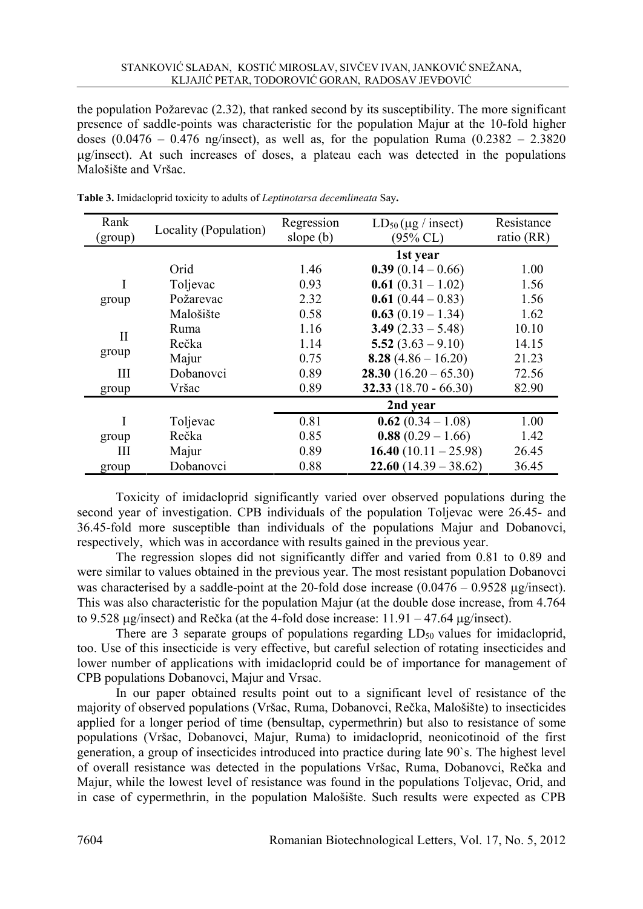the population Požarevac (2.32), that ranked second by its susceptibility. The more significant presence of saddle-points was characteristic for the population Majur at the 10-fold higher doses  $(0.0476 - 0.476$  ng/insect), as well as, for the population Ruma  $(0.2382 - 2.3820)$ μg/insect). At such increases of doses, a plateau each was detected in the populations Malošište and Vršac.

| Rank<br>(group) | Locality (Population) | Regression<br>slope $(b)$ | $LD_{50}(\mu g / \text{insect})$<br>$(95\%$ CL) | Resistance<br>ratio (RR) |
|-----------------|-----------------------|---------------------------|-------------------------------------------------|--------------------------|
|                 |                       |                           | 1st year                                        |                          |
|                 | Orid                  | 1.46                      | $0.39(0.14-0.66)$                               | 1.00                     |
| I               | Toljevac              | 0.93                      | $0.61(0.31 - 1.02)$                             | 1.56                     |
| group           | Požarevac             | 2.32                      | $0.61(0.44 - 0.83)$                             | 1.56                     |
|                 | Malošište             | 0.58                      | $0.63(0.19-1.34)$                               | 1.62                     |
| H<br>group      | Ruma                  | 1.16                      | $3.49(2.33 - 5.48)$                             | 10.10                    |
|                 | Rečka                 | 1.14                      | 5.52 $(3.63 - 9.10)$                            | 14.15                    |
|                 | Majur                 | 0.75                      | 8.28 $(4.86 - 16.20)$                           | 21.23                    |
| Ш               | Dobanovci             | 0.89                      | $28.30(16.20-65.30)$                            | 72.56                    |
| group           | Vršac                 | 0.89                      | 32.33 $(18.70 - 66.30)$                         | 82.90                    |
|                 |                       |                           | 2nd year                                        |                          |
| I               | Toljevac              | 0.81                      | $0.62(0.34 - 1.08)$                             | 1.00                     |
| group           | Rečka                 | 0.85                      | $0.88(0.29 - 1.66)$                             | 1.42                     |
| Ш               | Majur                 | 0.89                      | 16.40 $(10.11 - 25.98)$                         | 26.45                    |
| group           | Dobanovci             | 0.88                      | $22.60(14.39 - 38.62)$                          | 36.45                    |

**Table 3.** Imidacloprid toxicity to adults of *Leptinotarsa decemlineata* Say**.** 

Toxicity of imidacloprid significantly varied over observed populations during the second year of investigation. CPB individuals of the population Toljevac were 26.45- and 36.45-fold more susceptible than individuals of the populations Majur and Dobanovci, respectively, which was in accordance with results gained in the previous year.

The regression slopes did not significantly differ and varied from 0.81 to 0.89 and were similar to values obtained in the previous year. The most resistant population Dobanovci was characterised by a saddle-point at the 20-fold dose increase  $(0.0476 - 0.9528 \text{ µg/insect})$ . This was also characteristic for the population Majur (at the double dose increase, from 4.764 to 9.528  $\mu$ g/insect) and Rečka (at the 4-fold dose increase: 11.91 – 47.64  $\mu$ g/insect).

There are 3 separate groups of populations regarding  $LD_{50}$  values for imidacloprid, too. Use of this insecticide is very effective, but careful selection of rotating insecticides and lower number of applications with imidacloprid could be of importance for management of CPB populations Dobanovci, Majur and Vrsac.

In our paper obtained results point out to a significant level of resistance of the majority of observed populations (Vršac, Ruma, Dobanovci, Rečka, Malošište) to insecticides applied for a longer period of time (bensultap, cypermethrin) but also to resistance of some populations (Vršac, Dobanovci, Majur, Ruma) to imidacloprid, neonicotinoid of the first generation, a group of insecticides introduced into practice during late 90`s. The highest level of overall resistance was detected in the populations Vršac, Ruma, Dobanovci, Rečka and Majur, while the lowest level of resistance was found in the populations Toljevac, Orid, and in case of cypermethrin, in the population Malošište. Such results were expected as CPB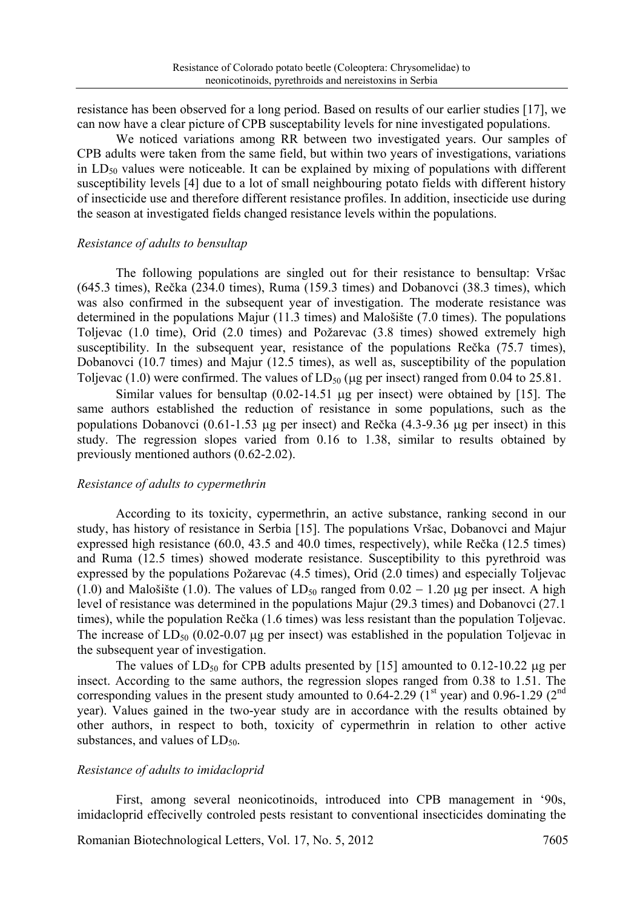resistance has been observed for a long period. Based on results of our earlier studies [17], we can now have a clear picture of CPB susceptability levels for nine investigated populations.

We noticed variations among RR between two investigated years. Our samples of CPB adults were taken from the same field, but within two years of investigations, variations in  $LD_{50}$  values were noticeable. It can be explained by mixing of populations with different susceptibility levels [4] due to a lot of small neighbouring potato fields with different history of insecticide use and therefore different resistance profiles. In addition, insecticide use during the season at investigated fields changed resistance levels within the populations.

#### *Resistance of adults to bensultap*

The following populations are singled out for their resistance to bensultap: Vršac (645.3 times), Rečka (234.0 times), Ruma (159.3 times) and Dobanovci (38.3 times), which was also confirmed in the subsequent year of investigation. The moderate resistance was determined in the populations Majur (11.3 times) and Malošište (7.0 times). The populations Toljevac (1.0 time), Orid (2.0 times) and Požarevac (3.8 times) showed extremely high susceptibility. In the subsequent year, resistance of the populations Rečka (75.7 times), Dobanovci (10.7 times) and Majur (12.5 times), as well as, susceptibility of the population Toljevac (1.0) were confirmed. The values of  $LD_{50}$  (µg per insect) ranged from 0.04 to 25.81.

Similar values for bensultap (0.02-14.51 μg per insect) were obtained by [15]. The same authors established the reduction of resistance in some populations, such as the populations Dobanovci  $(0.61-1.53 \mu g$  per insect) and Rečka  $(4.3-9.36 \mu g$  per insect) in this study. The regression slopes varied from 0.16 to 1.38, similar to results obtained by previously mentioned authors (0.62-2.02).

#### *Resistance of adults to cypermethrin*

According to its toxicity, cypermethrin, an active substance, ranking second in our study, has history of resistance in Serbia [15]. The populations Vršac, Dobanovci and Majur expressed high resistance (60.0, 43.5 and 40.0 times, respectively), while Rečka (12.5 times) and Ruma (12.5 times) showed moderate resistance. Susceptibility to this pyrethroid was expressed by the populations Požarevac (4.5 times), Orid (2.0 times) and especially Toljevac (1.0) and Malošište (1.0). The values of LD<sub>50</sub> ranged from  $0.02 - 1.20 \mu$ g per insect. A high level of resistance was determined in the populations Majur (29.3 times) and Dobanovci (27.1 times), while the population Rečka (1.6 times) was less resistant than the population Toljevac. The increase of  $LD_{50}$  (0.02-0.07 µg per insect) was established in the population Toljevac in the subsequent year of investigation.

The values of  $LD_{50}$  for CPB adults presented by [15] amounted to 0.12-10.22 μg per insect. According to the same authors, the regression slopes ranged from 0.38 to 1.51. The corresponding values in the present study amounted to  $0.64$ -2.29 ( $1<sup>st</sup>$  year) and  $0.96$ -1.29 ( $2<sup>nd</sup>$ year). Values gained in the two-year study are in accordance with the results obtained by other authors, in respect to both, toxicity of cypermethrin in relation to other active substances, and values of  $LD_{50}$ .

### *Resistance of adults to imidacloprid*

First, among several neonicotinoids, introduced into CPB management in '90s, imidacloprid effecivelly controled pests resistant to conventional insecticides dominating the

Romanian Biotechnological Letters, Vol. 17, No. 5, 2012 7605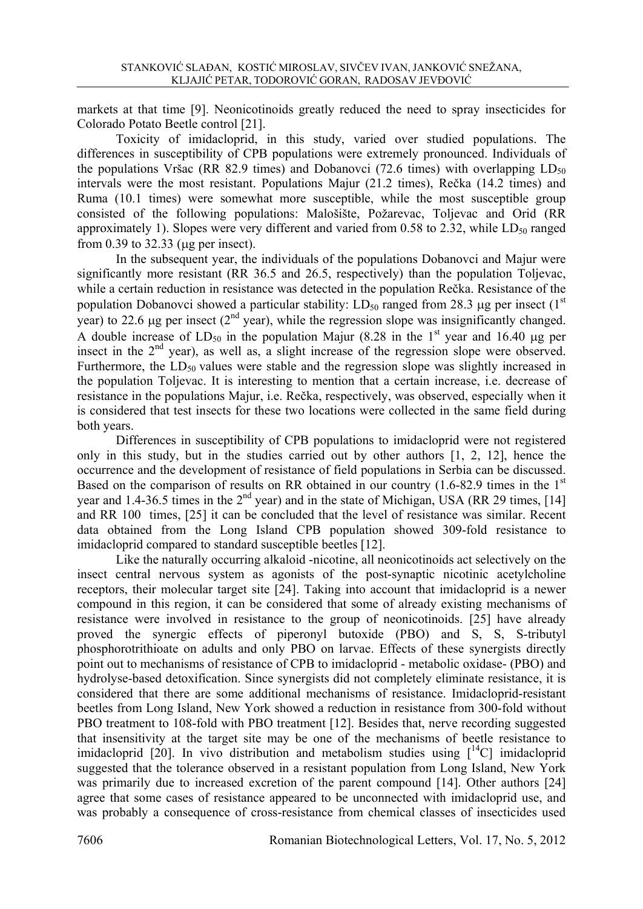markets at that time [9]. Neonicotinoids greatly reduced the need to spray insecticides for Colorado Potato Beetle control [21].

Toxicity of imidacloprid, in this study, varied over studied populations. The differences in susceptibility of CPB populations were extremely pronounced. Individuals of the populations Vršac (RR 82.9 times) and Dobanovci (72.6 times) with overlapping  $LD_{50}$ intervals were the most resistant. Populations Majur (21.2 times), Rečka (14.2 times) and Ruma (10.1 times) were somewhat more susceptible, while the most susceptible group consisted of the following populations: Malošište, Požarevac, Toljevac and Orid (RR approximately 1). Slopes were very different and varied from 0.58 to 2.32, while  $LD_{50}$  ranged from 0.39 to 32.33 (μg per insect).

In the subsequent year, the individuals of the populations Dobanovci and Majur were significantly more resistant (RR 36.5 and 26.5, respectively) than the population Toljevac, while a certain reduction in resistance was detected in the population Rečka. Resistance of the population Dobanovci showed a particular stability: LD<sub>50</sub> ranged from 28.3 μg per insect (1<sup>st</sup> year) to 22.6 μg per insect ( $2<sup>nd</sup>$  year), while the regression slope was insignificantly changed. A double increase of  $LD_{50}$  in the population Majur (8.28 in the 1<sup>st</sup> year and 16.40 µg per insect in the 2<sup>nd</sup> year), as well as, a slight increase of the regression slope were observed. Furthermore, the  $LD_{50}$  values were stable and the regression slope was slightly increased in the population Toljevac. It is interesting to mention that a certain increase, i.e. decrease of resistance in the populations Majur, i.e. Rečka, respectively, was observed, especially when it is considered that test insects for these two locations were collected in the same field during both years.

Differences in susceptibility of CPB populations to imidacloprid were not registered only in this study, but in the studies carried out by other authors [1, 2, 12], hence the occurrence and the development of resistance of field populations in Serbia can be discussed. Based on the comparison of results on RR obtained in our country  $(1.6-82.9$  times in the 1<sup>st</sup> year and 1.4-36.5 times in the  $2<sup>nd</sup>$  year) and in the state of Michigan, USA (RR 29 times, [14] and RR 100 times, [25] it can be concluded that the level of resistance was similar. Recent data obtained from the Long Island CPB population showed 309-fold resistance to imidacloprid compared to standard susceptible beetles [12].

Like the naturally occurring alkaloid -nicotine, all neonicotinoids act selectively on the insect central nervous system as agonists of the post-synaptic nicotinic acetylcholine receptors, their molecular target site [24]. Taking into account that imidacloprid is a newer compound in this region, it can be considered that some of already existing mechanisms of resistance were involved in resistance to the group of neonicotinoids. [25] have already proved the synergic effects of piperonyl butoxide (PBO) and S, S, S-tributyl phosphorotrithioate on adults and only PBO on larvae. Effects of these synergists directly point out to mechanisms of resistance of CPB to imidacloprid - metabolic oxidase- (PBO) and hydrolyse-based detoxification. Since synergists did not completely eliminate resistance, it is considered that there are some additional mechanisms of resistance. Imidacloprid-resistant beetles from Long Island, New York showed a reduction in resistance from 300-fold without PBO treatment to 108-fold with PBO treatment [12]. Besides that, nerve recording suggested that insensitivity at the target site may be one of the mechanisms of beetle resistance to imidacloprid [20]. In vivo distribution and metabolism studies using  $\lceil$ <sup>14</sup>C] imidacloprid suggested that the tolerance observed in a resistant population from Long Island, New York was primarily due to increased excretion of the parent compound [14]. Other authors [24] agree that some cases of resistance appeared to be unconnected with imidacloprid use, and was probably a consequence of cross-resistance from chemical classes of insecticides used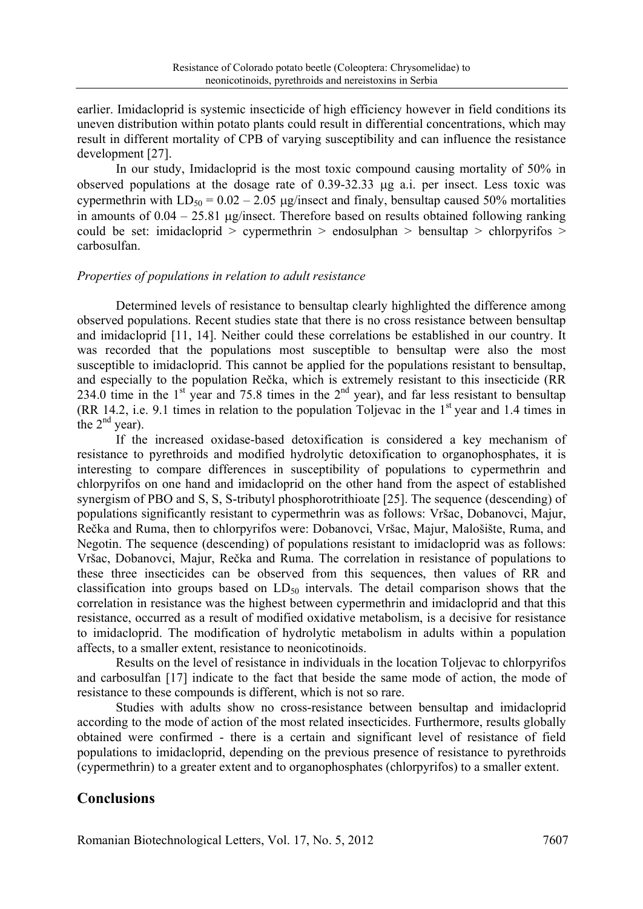earlier. Imidacloprid is systemic insecticide of high efficiency however in field conditions its uneven distribution within potato plants could result in differential concentrations, which may result in different mortality of CPB of varying susceptibility and can influence the resistance development [27].

In our study, Imidacloprid is the most toxic compound causing mortality of 50% in observed populations at the dosage rate of 0.39-32.33 μg a.i. per insect. Less toxic was cypermethrin with  $LD_{50} = 0.02 - 2.05$  µg/insect and finaly, bensultap caused 50% mortalities in amounts of  $0.04 - 25.81 \mu g/m$  sect. Therefore based on results obtained following ranking could be set: imidacloprid  $>$  cypermethrin  $>$  endosulphan  $>$  bensultap  $>$  chlorpyrifos  $>$ carbosulfan.

#### *Properties of populations in relation to adult resistance*

Determined levels of resistance to bensultap clearly highlighted the difference among observed populations. Recent studies state that there is no cross resistance between bensultap and imidacloprid [11, 14]. Neither could these correlations be established in our country. It was recorded that the populations most susceptible to bensultap were also the most susceptible to imidacloprid. This cannot be applied for the populations resistant to bensultap, and especially to the population Rečka, which is extremely resistant to this insecticide (RR 234.0 time in the 1<sup>st</sup> year and 75.8 times in the  $2<sup>nd</sup>$  year), and far less resistant to bensultap (RR 14.2, i.e. 9.1 times in relation to the population Toljevac in the  $1<sup>st</sup>$  year and 1.4 times in the  $2<sup>nd</sup>$  year).

If the increased oxidase-based detoxification is considered a key mechanism of resistance to pyrethroids and modified hydrolytic detoxification to organophosphates, it is interesting to compare differences in susceptibility of populations to cypermethrin and chlorpyrifos on one hand and imidacloprid on the other hand from the aspect of established synergism of PBO and S, S, S-tributyl phosphorotrithioate [25]. The sequence (descending) of populations significantly resistant to cypermethrin was as follows: Vršac, Dobanovci, Majur, Rečka and Ruma, then to chlorpyrifos were: Dobanovci, Vršac, Majur, Malošište, Ruma, and Negotin. The sequence (descending) of populations resistant to imidacloprid was as follows: Vršac, Dobanovci, Majur, Rečka and Ruma. The correlation in resistance of populations to these three insecticides can be observed from this sequences, then values of RR and classification into groups based on  $LD_{50}$  intervals. The detail comparison shows that the correlation in resistance was the highest between cypermethrin and imidacloprid and that this resistance, occurred as a result of modified oxidative metabolism, is a decisive for resistance to imidacloprid. The modification of hydrolytic metabolism in adults within a population affects, to a smaller extent, resistance to neonicotinoids.

Results on the level of resistance in individuals in the location Toljevac to chlorpyrifos and carbosulfan [17] indicate to the fact that beside the same mode of action, the mode of resistance to these compounds is different, which is not so rare.

Studies with adults show no cross-resistance between bensultap and imidacloprid according to the mode of action of the most related insecticides. Furthermore, results globally obtained were confirmed - there is a certain and significant level of resistance of field populations to imidacloprid, depending on the previous presence of resistance to pyrethroids (cypermethrin) to a greater extent and to organophosphates (chlorpyrifos) to a smaller extent.

## **Conclusions**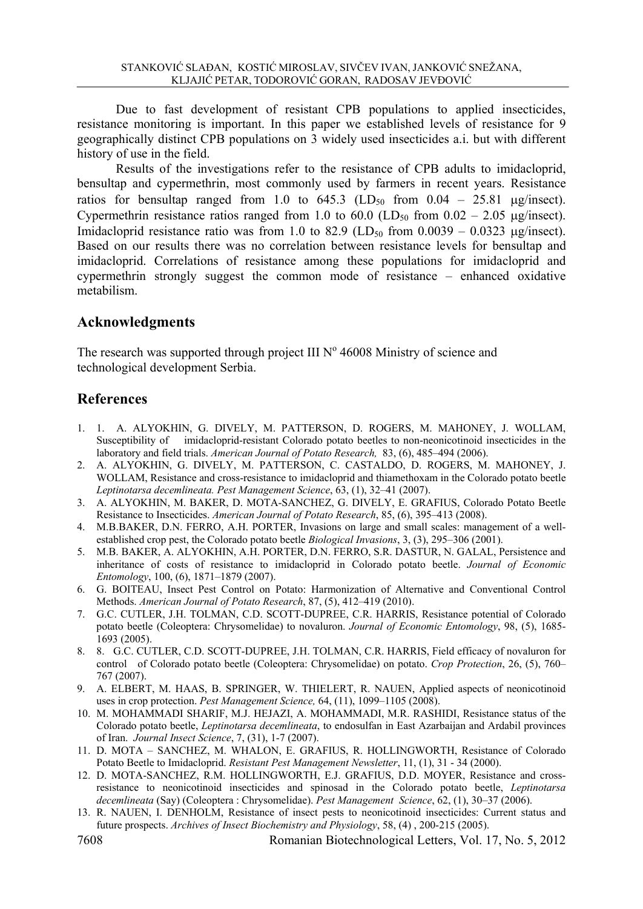Due to fast development of resistant CPB populations to applied insecticides, resistance monitoring is important. In this paper we established levels of resistance for 9 geographically distinct CPB populations on 3 widely used insecticides a.i. but with different history of use in the field.

Results of the investigations refer to the resistance of CPB adults to imidacloprid, bensultap and cypermethrin, most commonly used by farmers in recent years. Resistance ratios for bensultap ranged from 1.0 to  $645.3$  (LD<sub>50</sub> from  $0.04 - 25.81$  µg/insect). Cypermethrin resistance ratios ranged from 1.0 to 60.0 (LD<sub>50</sub> from  $0.02 - 2.05$  µg/insect). Imidacloprid resistance ratio was from 1.0 to 82.9 (LD<sub>50</sub> from  $0.0039 - 0.0323$  µg/insect). Based on our results there was no correlation between resistance levels for bensultap and imidacloprid. Correlations of resistance among these populations for imidacloprid and cypermethrin strongly suggest the common mode of resistance – enhanced oxidative metabilism.

# **Acknowledgments**

The research was supported through project III  $N^{\circ}$  46008 Ministry of science and technological development Serbia.

## **References**

- 1. 1. A. ALYOKHIN, G. DIVELY, M. PATTERSON, D. ROGERS, M. MAHONEY, J. WOLLAM, Susceptibility of imidacloprid-resistant Colorado potato beetles to non-neonicotinoid insecticides in the laboratory and field trials. *American Journal of Potato Research,* 83, (6), 485–494 (2006).
- 2. A. ALYOKHIN, G. DIVELY, M. PATTERSON, C. CASTALDO, D. ROGERS, M. MAHONEY, J. WOLLAM, Resistance and cross-resistance to imidacloprid and thiamethoxam in the Colorado potato beetle *Leptinotarsa decemlineata. Pest Management Science*, 63, (1), 32–41 (2007).
- 3. A. ALYOKHIN, M. BAKER, D. MOTA-SANCHEZ, G. DIVELY, E. GRAFIUS, Colorado Potato Beetle Resistance to Insecticides. *American Journal of Potato Research*, 85, (6), 395–413 (2008).
- 4. M.B.BAKER, D.N. FERRO, A.H. PORTER, Invasions on large and small scales: management of a wellestablished crop pest, the Colorado potato beetle *Biological Invasions*, 3, (3), 295–306 (2001).
- 5. M.B. BAKER, A. ALYOKHIN, A.H. PORTER, D.N. FERRO, S.R. DASTUR, N. GALAL, Persistence and inheritance of costs of resistance to imidacloprid in Colorado potato beetle. *Journal of Economic Entomology*, 100, (6), 1871–1879 (2007).
- 6. G. BOITEAU, Insect Pest Control on Potato: Harmonization of Alternative and Conventional Control Methods. *American Journal of Potato Research*, 87, (5), 412–419 (2010).
- 7. G.C. CUTLER, J.H. TOLMAN, C.D. SCOTT-DUPREE, C.R. HARRIS, Resistance potential of Colorado potato beetle (Coleoptera: Chrysomelidae) to novaluron. *Journal of Economic Entomology*, 98, (5), 1685- 1693 (2005).
- 8. 8. G.C. CUTLER, C.D. SCOTT-DUPREE, J.H. TOLMAN, C.R. HARRIS, Field efficacy of novaluron for control of Colorado potato beetle (Coleoptera: Chrysomelidae) on potato. *Crop Protection*, 26, (5), 760– 767 (2007).
- 9. A. ELBERT, M. HAAS, B. SPRINGER, W. THIELERT, R. NAUEN, Applied aspects of neonicotinoid uses in crop protection. *Pest Management Science,* 64, (11), 1099–1105 (2008).
- 10. M. MOHAMMADI SHARIF, M.J. HEJAZI, A. MOHAMMADI, M.R. RASHIDI, Resistance status of the Colorado potato beetle, *Leptinotarsa decemlineata*, to endosulfan in East Azarbaijan and Ardabil provinces of Iran. *Journal Insect Science*, 7, (31), 1-7 (2007).
- 11. D. MOTA SANCHEZ, M. WHALON, E. GRAFIUS, R. HOLLINGWORTH, Resistance of Colorado Potato Beetle to Imidacloprid. *Resistant Pest Management Newsletter*, 11, (1), 31 - 34 (2000).
- 12. D. MOTA-SANCHEZ, R.M. HOLLINGWORTH, E.J. GRAFIUS, D.D. MOYER, Resistance and crossresistance to neonicotinoid insecticides and spinosad in the Colorado potato beetle, *Leptinotarsa decemlineata* (Say) (Coleoptera : Chrysomelidae). *Pest Management Science*, 62, (1), 30–37 (2006).
- 13. R. NAUEN, I. DENHOLM, Resistance of insect pests to neonicotinoid insecticides: Current status and future prospects. *Archives of Insect Biochemistry and Physiology*, 58, (4) , 200-215 (2005).

7608 Romanian Biotechnological Letters, Vol. 17, No. 5, 2012